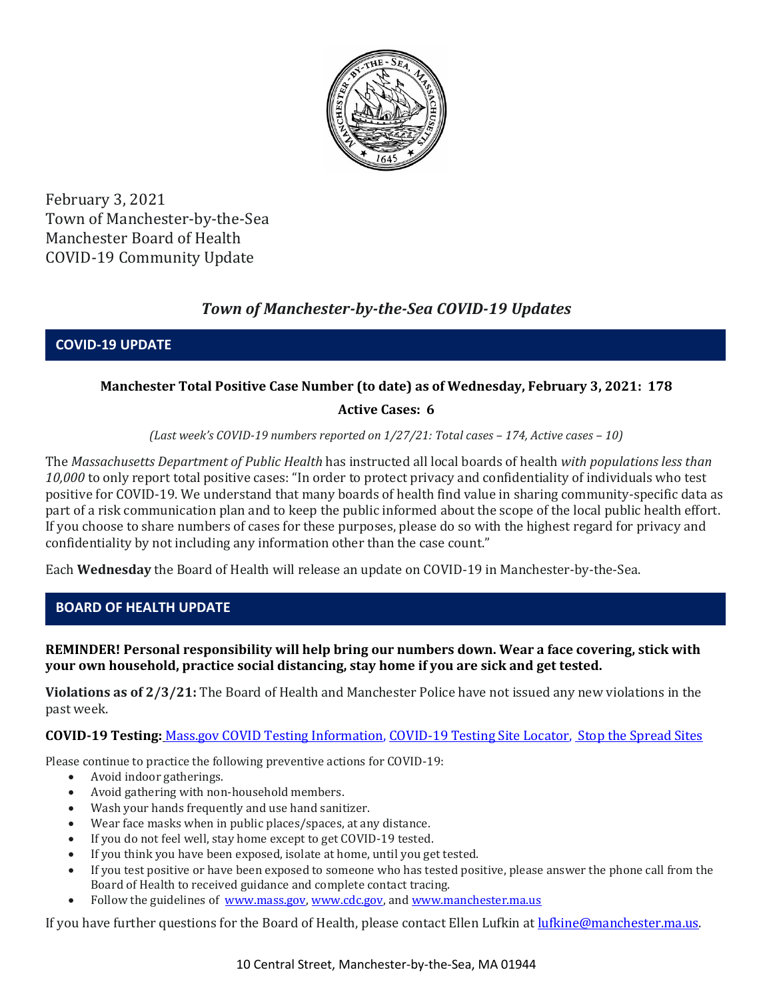

February 3, 2021 Town of Manchester-by-the-Sea Manchester Board of Health COVID-19 Community Update

# *Town of Manchester-by-the-Sea COVID-19 Updates*

**COVID-19 UPDATE**

# **Manchester Total Positive Case Number (to date) as of Wednesday, February 3, 2021: 178**

# **Active Cases: 6**

*(Last week's COVID-19 numbers reported on 1/27/21: Total cases – 174, Active cases – 10)*

The *Massachusetts Department of Public Health* has instructed all local boards of health *with populations less than 10,000* to only report total positive cases: "In order to protect privacy and confidentiality of individuals who test positive for COVID-19. We understand that many boards of health find value in sharing community-specific data as part of a risk communication plan and to keep the public informed about the scope of the local public health effort. If you choose to share numbers of cases for these purposes, please do so with the highest regard for privacy and confidentiality by not including any information other than the case count."

Each **Wednesday** the Board of Health will release an update on COVID-19 in Manchester-by-the-Sea.

# **BOARD OF HEALTH UPDATE**

#### **REMINDER! Personal responsibility will help bring our numbers down. Wear a face covering, stick with your own household, practice social distancing, stay home if you are sick and get tested.**

**Violations as of 2/3/21:** The Board of Health and Manchester Police have not issued any new violations in the past week.

**COVID-19 Testing:** [Mass.gov COVID Testing Information,](https://www.mass.gov/covid-19-testing) [COVID-19 Testing Site Locator,](https://memamaps.maps.arcgis.com/apps/webappviewer/index.html?id=eba3f0395451430b9f631cb095febf13) [Stop the Spread Sites](https://www.mass.gov/info-details/stop-the-spread)

Please continue to practice the following preventive actions for COVID-19:

- Avoid indoor gatherings.
- Avoid gathering with non-household members.
- Wash your hands frequently and use hand sanitizer.
- Wear face masks when in public places/spaces, at any distance.
- If you do not feel well, stay home except to get COVID-19 tested.
- If you think you have been exposed, isolate at home, until you get tested.
- If you test positive or have been exposed to someone who has tested positive, please answer the phone call from the Board of Health to received guidance and complete contact tracing.
- Follow the guidelines of [www.mass.gov,](http://www.mass.gov/) [www.cdc.gov,](https://www.cdc.gov/) an[d www.manchester.ma.us](http://www.manchester.ma.us/)

If you have further questions for the Board of Health, please contact Ellen Lufkin at [lufkine@manchester.ma.us.](mailto:lufkine@manchester.ma.us)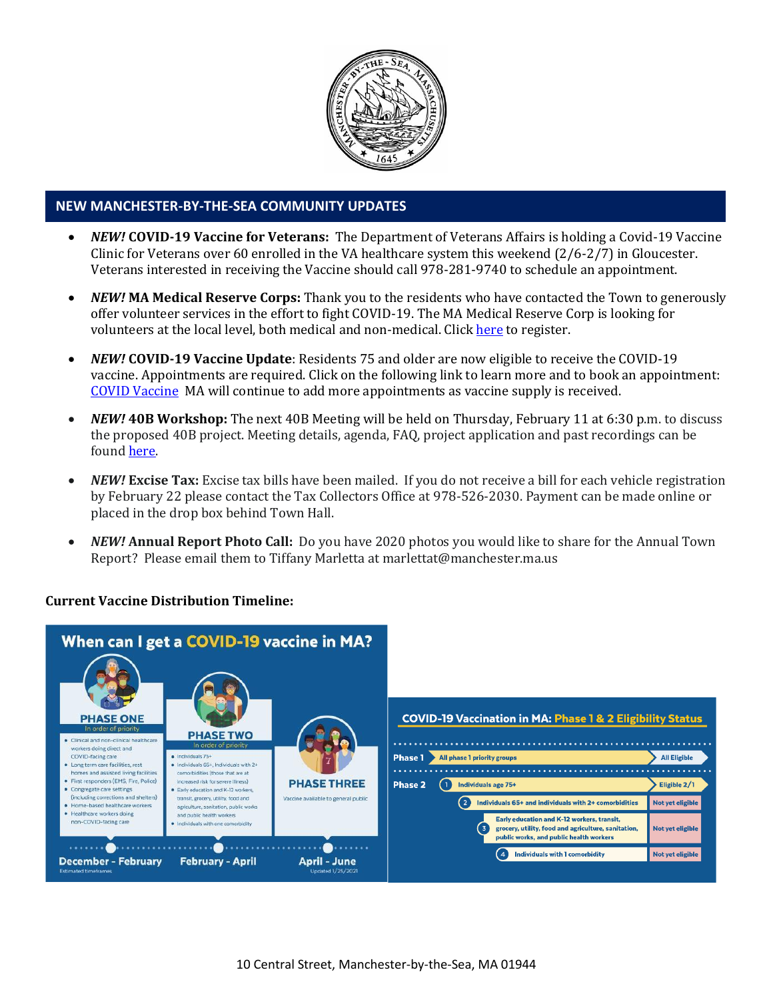

#### **NEW MANCHESTER-BY-THE-SEA COMMUNITY UPDATES**

- *NEW!* **COVID-19 Vaccine for Veterans:** The Department of Veterans Affairs is holding a Covid-19 Vaccine Clinic for Veterans over 60 enrolled in the VA healthcare system this weekend (2/6-2/7) in Gloucester. Veterans interested in receiving the Vaccine should call 978-281-9740 to schedule an appointment.
- *NEW!* **MA Medical Reserve Corps:** Thank you to the residents who have contacted the Town to generously offer volunteer services in the effort to fight COVID-19. The MA Medical Reserve Corp is looking for volunteers at the local level, both medical and non-medical. Clic[k here](https://l.facebook.com/l.php?u=https%3A%2F%2Fwww.mamedicalreservecorps.org%2Fcovid19%3Ffbclid%3DIwAR1O_7U70XMSPe_kbb689S7zAJbCTYavpqNhIz9Ce2s-encj1Mlz3fOmjYI&h=AT3a2b6zxupFiw2RA_9kLVFDLZwmtblukw3wwe3pvVN6YWtLrkwxEyW8Z8S97uuzXDiNt1x4DYp7DeOoXm1U98GjBQQufV4R5eC5sYpFoqMi6iMDgiQu2THu_d0XoA0BnNUMg336NM-KtUxjtQ&__tn__=-UK-R&c%5b0%5d=AT2anP_ULhxU-U55t7AxrMiNTXfNIJnoicfzRyKEGzk_70Dtxb6ttNSKpwftDkeovmenW9ksjPEmhjSrMDjZ_NEMD2Upi_WEREnPIZBLU-8cgapV1WMi5HvUjS0InF_0K4aE4PXV6bei0V79lnY9jSo89LgXHVCMF9u0-PYa4j6cBMOzl7xPt7oB2_WGVQ8cDciW8b9U) to register.
- *NEW!* **COVID-19 Vaccine Update**: Residents 75 and older are now eligible to receive the COVID-19 vaccine. Appointments are required. Click on the following link to learn more and to book an appointment: [COVID Vaccine](https://www.mass.gov/info-details/massachusetts-covid-19-vaccine-information) MA will continue to add more appointments as vaccine supply is received.
- *NEW!* **40B Workshop:** The next 40B Meeting will be held on Thursday, February 11 at 6:30 p.m. to discuss the proposed 40B project. Meeting details, agenda, FAQ, project application and past recordings can be found [here.](http://manchester.ma.us/729/40B)
- *NEW!* Excise Tax: Excise tax bills have been mailed. If you do not receive a bill for each vehicle registration by February 22 please contact the Tax Collectors Office at 978-526-2030. Payment can be made online or placed in the drop box behind Town Hall.
- *NEW!* **Annual Report Photo Call:** Do you have 2020 photos you would like to share for the Annual Town Report? Please email them to Tiffany Marletta at marlettat@manchester.ma.us

#### **Current Vaccine Distribution Timeline:**

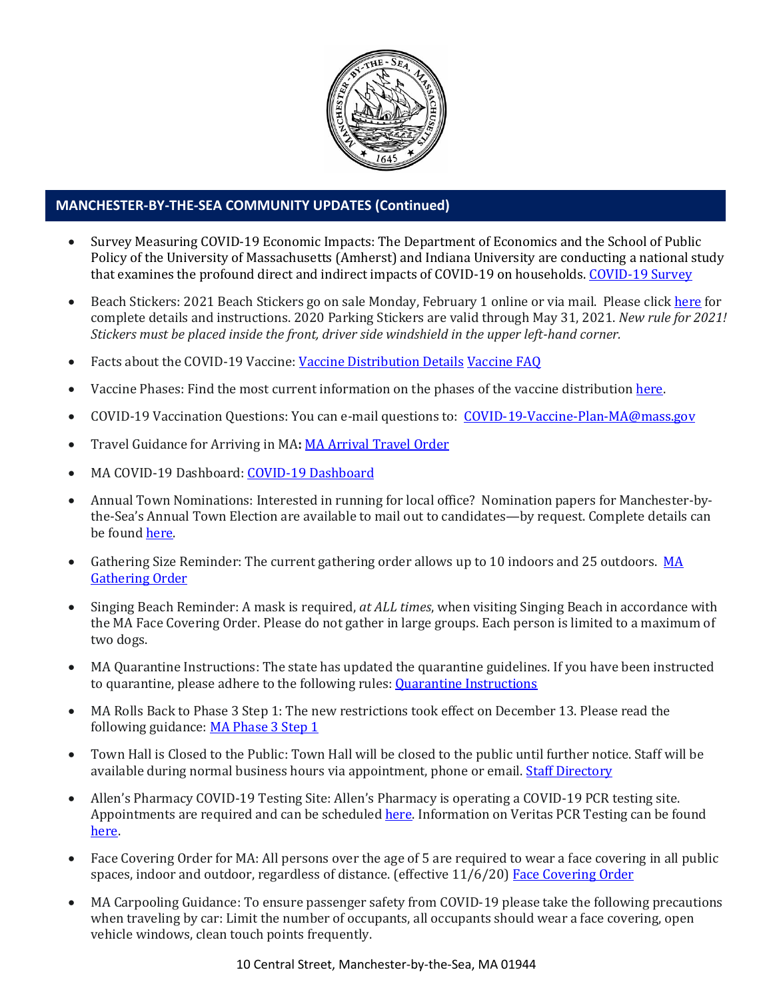

# **MANCHESTER-BY-THE-SEA COMMUNITY UPDATES (Continued)**

- Survey Measuring COVID-19 Economic Impacts: The Department of Economics and the School of Public Policy of the University of Massachusetts (Amherst) and Indiana University are conducting a national study that examines the profound direct and indirect impacts of COVID-19 on households. [COVID-19 Survey](http://mma.informz.net/z/cjUucD9taT04MjQwNTE4JnA9MSZ1PTgyMjgxNjc1MyZsaT02OTY0MjY5Ng/index.html)
- Beach Stickers: 2021 Beach Stickers go on sale Monday, February 1 online or via mail. Please clic[k here](http://manchester.ma.us/252/Beach-Resident-Parking-Stickers) for complete details and instructions. 2020 Parking Stickers are valid through May 31, 2021. *New rule for 2021! Stickers must be placed inside the front, driver side windshield in the upper left-hand corner.*
- Facts about the COVID-19 Vaccine: [Vaccine Distribution Details](http://ma-manchesterbythesea.civicplus.com/DocumentCenter/View/3629/StopCOVID19_Need-to-Know_Final_English) [Vaccine FAQ](https://www.mass.gov/info-details/covid-19-vaccine-frequently-asked-questions)
- Vaccine Phases: Find the most current information on the phases of the vaccine distribution here.
- COVID-19 Vaccination Questions: You can e-mail questions to: [COVID-19-Vaccine-Plan-MA@mass.gov](file:///C:/Users/marlettat/Desktop/Public%20Relations/2021/COVID-19-Vaccine-Plan-MA@mass.gov)
- Travel Guidance for Arriving in MA**:** [MA Arrival Travel Order](https://www.mass.gov/guidance/guidance-for-travelers-arriving-in-the-commonwealth-of-massachusetts)
- MA COVID-19 Dashboard: [COVID-19 Dashboard](https://www.mass.gov/info-details/covid-19-response-reporting#covid-19-interactive-data-dashboard-)
- Annual Town Nominations: Interested in running for local office? Nomination papers for Manchester-bythe-Sea's Annual Town Election are available to mail out to candidates—by request. Complete details can be foun[d here.](http://ma-manchesterbythesea.civicplus.com/DocumentCenter/View/3628/PRESS-RELEASE-FOR-NOMINATION-PAPERS-2021)
- Gathering Size Reminder: The current gathering order allows up to 10 indoors and 25 outdoors. MA [Gathering Order](http://manchester.ma.us/DocumentCenter/View/3611/StopCOVID19-LargeGathering-Updated-2020-12-26_English)
- Singing Beach Reminder: A mask is required, *at ALL times*, when visiting Singing Beach in accordance with the MA Face Covering Order. Please do not gather in large groups. Each person is limited to a maximum of two dogs.
- MA Quarantine Instructions: The state has updated the quarantine guidelines. If you have been instructed to quarantine, please adhere to the following rules: **Quarantine Instructions**
- MA Rolls Back to Phase 3 Step 1: The new restrictions took effect on December 13. Please read the following guidance: [MA Phase 3 Step 1](https://www.mass.gov/news/baker-polito-administration-announces-statewide-rollback-to-phase-three-step-one-additional)
- Town Hall is Closed to the Public: Town Hall will be closed to the public until further notice. Staff will be available during normal business hours via appointment, phone or email. [Staff Directory](http://manchester.ma.us/directory.aspx)
- Allen's Pharmacy COVID-19 Testing Site: Allen's Pharmacy is operating a COVID-19 PCR testing site. Appointments are required and can be scheduled [here.](https://schedule.veritasgenetics.com/) Information on Veritas PCR Testing can be found [here.](https://www.veritasgenetics.com/covid-molecular/)
- Face Covering Order for MA: All persons over the age of 5 are required to wear a face covering in all public spaces, indoor and outdoor, regardless of distance. (effective 11/6/20) [Face Covering Order](http://manchester.ma.us/DocumentCenter/View/3499/Revised-Face-Coverings-Order-No-55-1?fbclid=IwAR1a7l39TKetEAZ_mA8K6saG2GZ1dRBKA9-xuJJ3tDlAVUGCp7YatZmCKEo)
- MA Carpooling Guidance: To ensure passenger safety from COVID-19 please take the following precautions when traveling by car: Limit the number of occupants, all occupants should wear a face covering, open vehicle windows, clean touch points frequently.